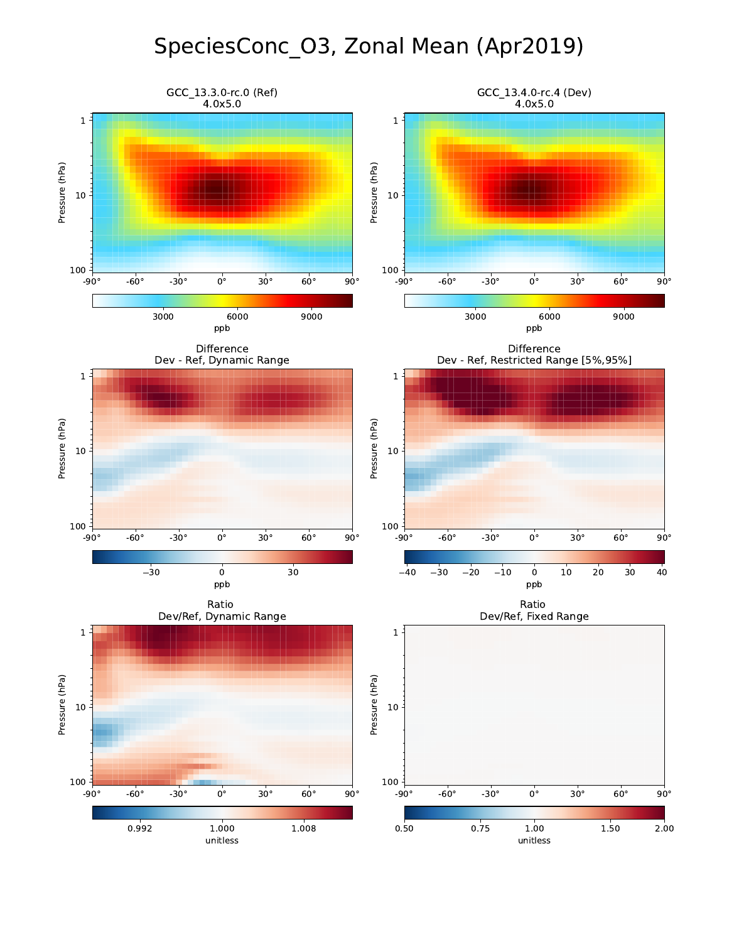## SpeciesConc\_O3, Zonal Mean (Apr2019)

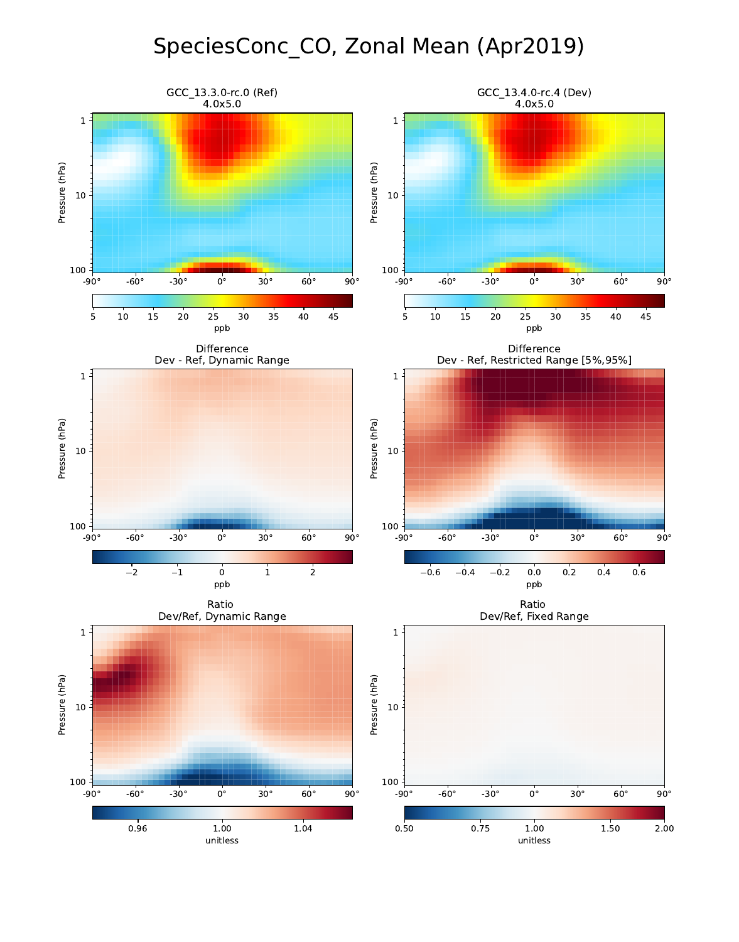## SpeciesConc\_CO, Zonal Mean (Apr2019)

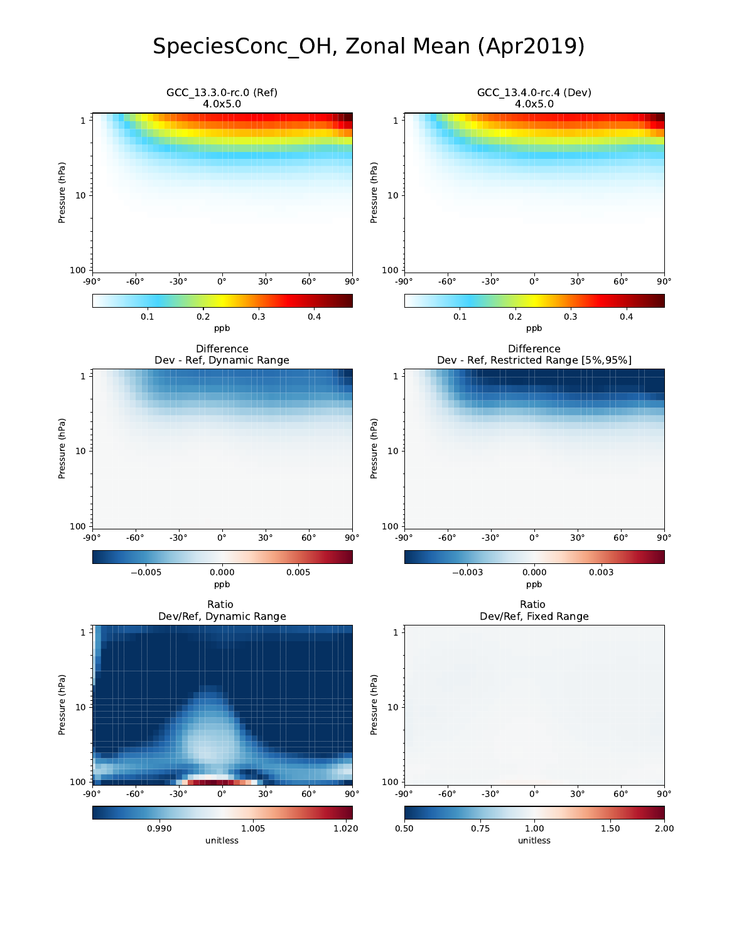## SpeciesConc\_OH, Zonal Mean (Apr2019)